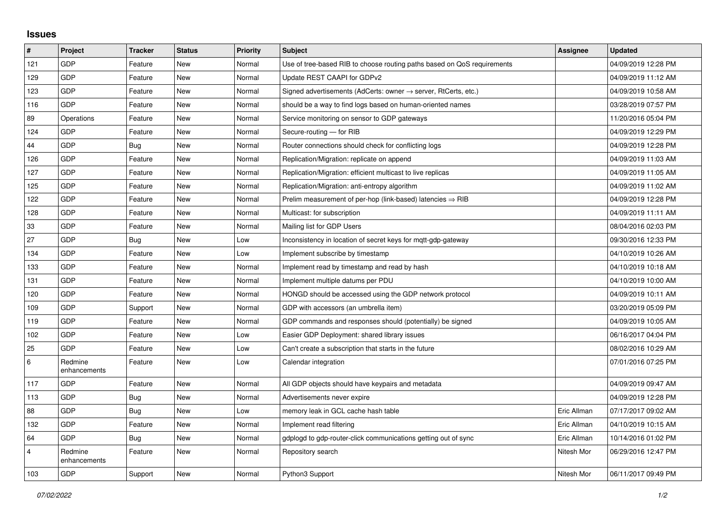## **Issues**

| #              | Project                 | <b>Tracker</b> | <b>Status</b> | <b>Priority</b> | <b>Subject</b>                                                             | Assignee    | <b>Updated</b>      |
|----------------|-------------------------|----------------|---------------|-----------------|----------------------------------------------------------------------------|-------------|---------------------|
| 121            | GDP                     | Feature        | <b>New</b>    | Normal          | Use of tree-based RIB to choose routing paths based on QoS requirements    |             | 04/09/2019 12:28 PM |
| 129            | GDP                     | Feature        | <b>New</b>    | Normal          | Update REST CAAPI for GDPv2                                                |             | 04/09/2019 11:12 AM |
| 123            | GDP                     | Feature        | <b>New</b>    | Normal          | Signed advertisements (AdCerts: owner $\rightarrow$ server, RtCerts, etc.) |             | 04/09/2019 10:58 AM |
| 116            | GDP                     | Feature        | <b>New</b>    | Normal          | should be a way to find logs based on human-oriented names                 |             | 03/28/2019 07:57 PM |
| 89             | Operations              | Feature        | <b>New</b>    | Normal          | Service monitoring on sensor to GDP gateways                               |             | 11/20/2016 05:04 PM |
| 124            | GDP                     | Feature        | New           | Normal          | Secure-routing - for RIB                                                   |             | 04/09/2019 12:29 PM |
| 44             | GDP                     | <b>Bug</b>     | <b>New</b>    | Normal          | Router connections should check for conflicting logs                       |             | 04/09/2019 12:28 PM |
| 126            | GDP                     | Feature        | <b>New</b>    | Normal          | Replication/Migration: replicate on append                                 |             | 04/09/2019 11:03 AM |
| 127            | GDP                     | Feature        | <b>New</b>    | Normal          | Replication/Migration: efficient multicast to live replicas                |             | 04/09/2019 11:05 AM |
| 125            | GDP                     | Feature        | <b>New</b>    | Normal          | Replication/Migration: anti-entropy algorithm                              |             | 04/09/2019 11:02 AM |
| 122            | GDP                     | Feature        | <b>New</b>    | Normal          | Prelim measurement of per-hop (link-based) latencies $\Rightarrow$ RIB     |             | 04/09/2019 12:28 PM |
| 128            | GDP                     | Feature        | <b>New</b>    | Normal          | Multicast: for subscription                                                |             | 04/09/2019 11:11 AM |
| 33             | GDP                     | Feature        | New           | Normal          | Mailing list for GDP Users                                                 |             | 08/04/2016 02:03 PM |
| 27             | GDP                     | Bug            | <b>New</b>    | Low             | Inconsistency in location of secret keys for mqtt-gdp-gateway              |             | 09/30/2016 12:33 PM |
| 134            | GDP                     | Feature        | <b>New</b>    | Low             | Implement subscribe by timestamp                                           |             | 04/10/2019 10:26 AM |
| 133            | GDP                     | Feature        | <b>New</b>    | Normal          | Implement read by timestamp and read by hash                               |             | 04/10/2019 10:18 AM |
| 131            | GDP                     | Feature        | <b>New</b>    | Normal          | Implement multiple datums per PDU                                          |             | 04/10/2019 10:00 AM |
| 120            | GDP                     | Feature        | <b>New</b>    | Normal          | HONGD should be accessed using the GDP network protocol                    |             | 04/09/2019 10:11 AM |
| 109            | GDP                     | Support        | <b>New</b>    | Normal          | GDP with accessors (an umbrella item)                                      |             | 03/20/2019 05:09 PM |
| 119            | GDP                     | Feature        | <b>New</b>    | Normal          | GDP commands and responses should (potentially) be signed                  |             | 04/09/2019 10:05 AM |
| 102            | GDP                     | Feature        | <b>New</b>    | Low             | Easier GDP Deployment: shared library issues                               |             | 06/16/2017 04:04 PM |
| 25             | GDP                     | Feature        | <b>New</b>    | Low             | Can't create a subscription that starts in the future                      |             | 08/02/2016 10:29 AM |
| 6              | Redmine<br>enhancements | Feature        | New           | Low             | Calendar integration                                                       |             | 07/01/2016 07:25 PM |
| 117            | GDP                     | Feature        | <b>New</b>    | Normal          | All GDP objects should have keypairs and metadata                          |             | 04/09/2019 09:47 AM |
| 113            | GDP                     | Bug            | <b>New</b>    | Normal          | Advertisements never expire                                                |             | 04/09/2019 12:28 PM |
| 88             | GDP                     | <b>Bug</b>     | <b>New</b>    | Low             | memory leak in GCL cache hash table                                        | Eric Allman | 07/17/2017 09:02 AM |
| 132            | GDP                     | Feature        | <b>New</b>    | Normal          | Implement read filtering                                                   | Eric Allman | 04/10/2019 10:15 AM |
| 64             | GDP                     | Bug            | <b>New</b>    | Normal          | gdplogd to gdp-router-click communications getting out of sync             | Eric Allman | 10/14/2016 01:02 PM |
| $\overline{4}$ | Redmine<br>enhancements | Feature        | <b>New</b>    | Normal          | Repository search                                                          | Nitesh Mor  | 06/29/2016 12:47 PM |
| 103            | GDP                     | Support        | <b>New</b>    | Normal          | Python3 Support                                                            | Nitesh Mor  | 06/11/2017 09:49 PM |